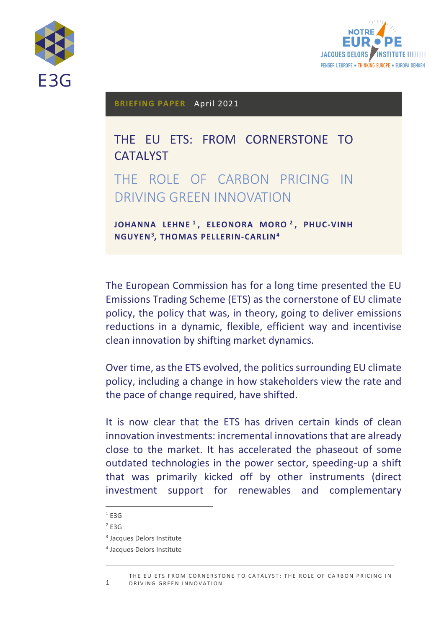



**BRIEFING PAPER** April 2021

THE EU ETS: FROM CORNERSTONE TO CATALYST THE ROLE OF CARBON PRICING IN DRIVING GREEN INNOVATION

**JOHANNA LEHNE 1 , ELEONORA MORO <sup>2</sup> , PHUC-VINH NGUYEN<sup>3</sup> , THOMAS PELLERIN-CARLIN<sup>4</sup>**

The European Commission has for a long time presented the EU Emissions Trading Scheme (ETS) as the cornerstone of EU climate policy, the policy that was, in theory, going to deliver emissions reductions in a dynamic, flexible, efficient way and incentivise clean innovation by shifting market dynamics.

Over time, as the ETS evolved, the politics surrounding EU climate policy, including a change in how stakeholders view the rate and the pace of change required, have shifted.

It is now clear that the ETS has driven certain kinds of clean innovation investments: incremental innovations that are already close to the market. It has accelerated the phaseout of some outdated technologies in the power sector, speeding-up a shift that was primarily kicked off by other instruments (direct investment support for renewables and complementary

 $1$  E3G

 $2$  E3G

<sup>&</sup>lt;sup>3</sup> Jacques Delors Institute

<sup>4</sup> Jacques Delors Institute

<sup>1</sup> THE EU ETS FROM CORNERSTONE TO CATALYST: THE ROLE OF CARBON PRICING IN DRIVING GREEN INNOVATION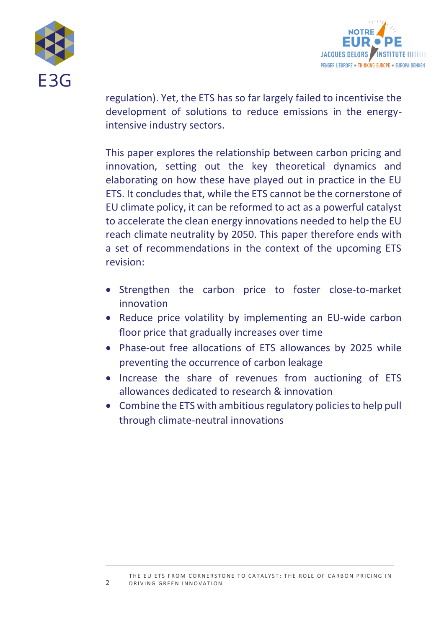



regulation). Yet, the ETS has so far largely failed to incentivise the development of solutions to reduce emissions in the energyintensive industry sectors.

This paper explores the relationship between carbon pricing and innovation, setting out the key theoretical dynamics and elaborating on how these have played out in practice in the EU ETS. It concludes that, while the ETS cannot be the cornerstone of EU climate policy, it can be reformed to act as a powerful catalyst to accelerate the clean energy innovations needed to help the EU reach climate neutrality by 2050. This paper therefore ends with a set of recommendations in the context of the upcoming ETS revision:

- Strengthen the carbon price to foster close-to-market innovation
- Reduce price volatility by implementing an EU-wide carbon floor price that gradually increases over time
- Phase-out free allocations of ETS allowances by 2025 while preventing the occurrence of carbon leakage
- Increase the share of revenues from auctioning of ETS allowances dedicated to research & innovation
- Combine the ETS with ambitious regulatory policies to help pull through climate-neutral innovations

2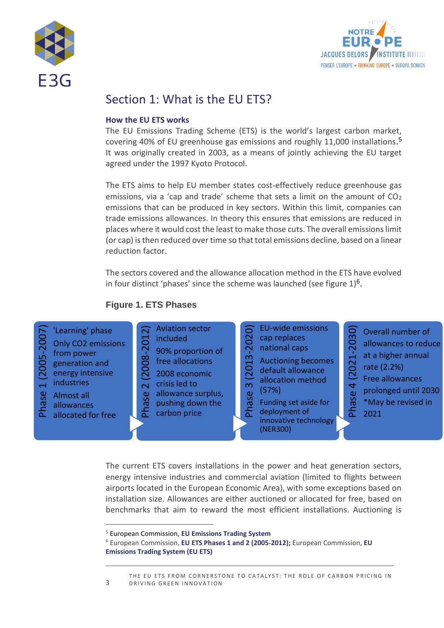



## Section 1: What is the EU ETS?

#### **How the EU ETS works**

The EU Emissions Trading Scheme (ETS) is the world's largest carbon market, covering 40% of EU greenhouse gas emissions and roughly 11,000 installations. 5 It was originally created in 2003, as a means of jointly achieving the EU target agreed under the 1997 Kyoto Protocol.

The ETS aims to help EU member states cost-effectively reduce greenhouse gas emissions, via a 'cap and trade' scheme that sets a limit on the amount of  $CO<sub>2</sub>$ emissions that can be produced in key sectors. Within this limit, companies can trade emissions allowances. In theory this ensures that emissions are reduced in places where it would cost the least to make those cuts. The overall emissions limit (or cap) is then reduced over time so that total emissions decline, based on a linear reduction factor.

The sectors covered and the allowance allocation method in the ETS have evolved in four distinct 'phases' since the scheme was launched (see figure  $1)^6$ .

## **Figure 1. ETS Phases**



The current ETS covers installations in the power and heat generation sectors, energy intensive industries and commercial aviation (limited to flights between airports located in the European Economic Area), with some exceptions based on installation size. Allowances are either auctioned or allocated for free, based on benchmarks that aim to reward the most efficient installations. Auctioning is

<sup>5</sup> European Commission, **[EU Emissions Trading System](https://ec.europa.eu/clima/policies/ets_en)**

<sup>6</sup> European Commission, **[EU ETS Phases 1 and 2 \(2005-2012\);](https://ec.europa.eu/clima/policies/ets/pre2013_en)** European Commission, **[EU](https://ec.europa.eu/clima/policies/ets_en)  [Emissions Trading System \(EU ETS\)](https://ec.europa.eu/clima/policies/ets_en)**

<sup>3</sup> THE EU ETS FROM CORNERSTONE TO CATALYST: THE ROLE OF CARBON PRICING IN DRIVING GREEN INNOVATION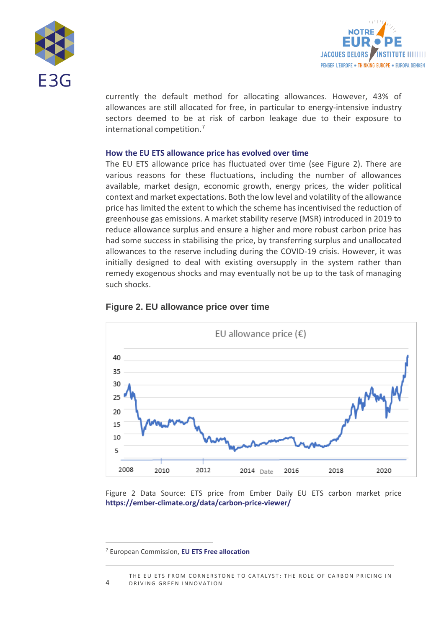



currently the default method for allocating allowances. However, 43% of allowances are still allocated for free, in particular to energy-intensive industry sectors deemed to be at risk of carbon leakage due to their exposure to international competition. 7

#### **How the EU ETS allowance price has evolved over time**

The EU ETS allowance price has fluctuated over time (see Figure 2). There are various reasons for these fluctuations, including the number of allowances available, market design, economic growth, energy prices, the wider political context and market expectations. Both the low level and volatility of the allowance price has limited the extent to which the scheme has incentivised the reduction of greenhouse gas emissions. A market stability reserve (MSR) introduced in 2019 to reduce allowance surplus and ensure a higher and more robust carbon price has had some success in stabilising the price, by transferring surplus and unallocated allowances to the reserve including during the COVID-19 crisis. However, it was initially designed to deal with existing oversupply in the system rather than remedy exogenous shocks and may eventually not be up to the task of managing such shocks.



#### **Figure 2. EU allowance price over time**

Figure 2 Data Source: ETS price from Ember Daily EU ETS carbon market price **<https://ember-climate.org/data/carbon-price-viewer/>**

<sup>7</sup> European Commission, **[EU ETS Free allocation](https://ec.europa.eu/clima/policies/ets/allowances_en)**

 $\Delta$ THE EU ETS FROM CORNERSTONE TO CATALYST: THE ROLE OF CARBON PRICING IN DRIVING GREEN INNOVATION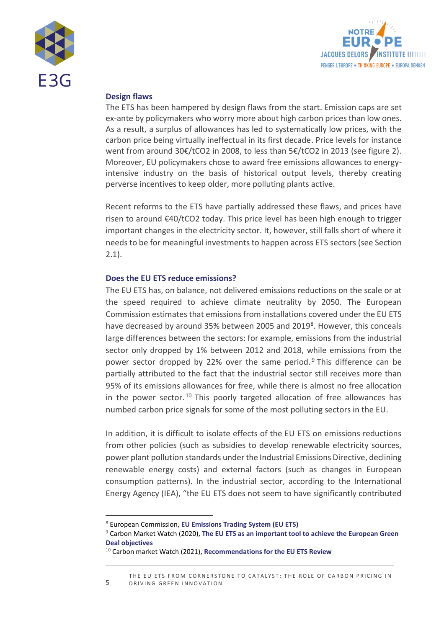



## **Design flaws**

The ETS has been hampered by design flaws from the start. Emission caps are set ex-ante by policymakers who worry more about high carbon prices than low ones. As a result, a surplus of allowances has led to systematically low prices, with the carbon price being virtually ineffectual in its first decade. Price levels for instance went from around 30€/tCO2 in 2008, to less than 5€/tCO2 in 2013 (see figure 2). Moreover, EU policymakers chose to award free emissions allowances to energyintensive industry on the basis of historical output levels, thereby creating perverse incentives to keep older, more polluting plants active.

Recent reforms to the ETS have partially addressed these flaws, and prices have risen to around €40/tCO2 today. This price level has been high enough to trigger important changes in the electricity sector. It, however, still falls short of where it needs to be for meaningful investments to happen across ETS sectors (see Section 2.1).

## **Does the EU ETS reduce emissions?**

The EU ETS has, on balance, not delivered emissions reductions on the scale or at the speed required to achieve climate neutrality by 2050. The European Commission estimates that emissions from installations covered under the EU ETS have decreased by around 35% between 2005 and 2019<sup>8</sup>. However, this conceals large differences between the sectors: for example, emissions from the industrial sector only dropped by 1% between 2012 and 2018, while emissions from the power sector dropped by 22% over the same period.  $9$  This difference can be partially attributed to the fact that the industrial sector still receives more than 95% of its emissions allowances for free, while there is almost no free allocation in the power sector.<sup>10</sup> This poorly targeted allocation of free allowances has numbed carbon price signals for some of the most polluting sectors in the EU.

In addition, it is difficult to isolate effects of the EU ETS on emissions reductions from other policies (such as subsidies to develop renewable electricity sources, power plant pollution standards under the Industrial Emissions Directive, declining renewable energy costs) and external factors (such as changes in European consumption patterns). In the industrial sector, according to the International Energy Agency (IEA), "the EU ETS does not seem to have significantly contributed

<sup>8</sup> European Commission, **[EU Emissions Trading System \(EU ETS\)](https://ec.europa.eu/clima/policies/ets_en)**

<sup>9</sup> Carbon Market Watch (2020), **[The EU ETS as an important tool to achieve the European Green](https://carbonmarketwatch.org/2020/06/23/the-eu-emission-trading-system-carbon-pricing-as-an-important-tool-to-achieve-the-objectives-of-the-green-deal/)  [Deal objectives](https://carbonmarketwatch.org/2020/06/23/the-eu-emission-trading-system-carbon-pricing-as-an-important-tool-to-achieve-the-objectives-of-the-green-deal/)**

<sup>10</sup> Carbon market Watch (2021), **[Recommendations for the EU ETS Review](https://carbonmarketwatch.org/wp-content/uploads/2021/04/A-New-Hope_recommendations-for-the-EU-ETS-review-2.pdf)**

<sup>5</sup> THE EU ETS FROM CORNERSTONE TO CATALYST: THE ROLE OF CARBON PRICING IN DRIVING GREEN INNOVATION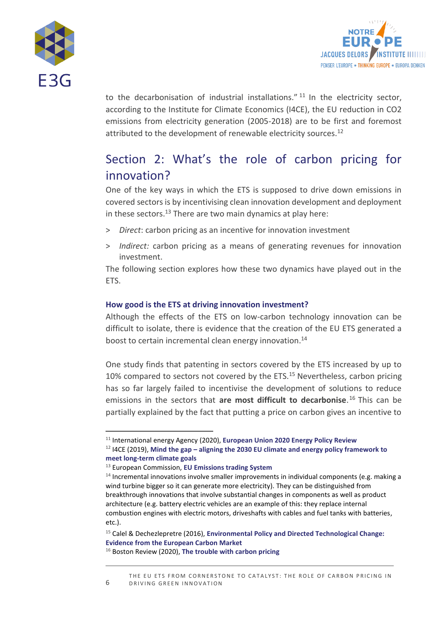



to the decarbonisation of industrial installations."<sup>11</sup> In the electricity sector, according to the Institute for Climate Economics (I4CE), the EU reduction in CO2 emissions from electricity generation (2005-2018) are to be first and foremost attributed to the development of renewable electricity sources.<sup>12</sup>

# Section 2: What's the role of carbon pricing for innovation?

One of the key ways in which the ETS is supposed to drive down emissions in covered sectors is by incentivising clean innovation development and deployment in these sectors.<sup>13</sup> There are two main dynamics at play here:

- > *Direct*: carbon pricing as an incentive for innovation investment
- > *Indirect:* carbon pricing as a means of generating revenues for innovation investment.

The following section explores how these two dynamics have played out in the ETS.

## **How good is the ETS at driving innovation investment?**

Although the effects of the ETS on low-carbon technology innovation can be difficult to isolate, there is evidence that the creation of the EU ETS generated a boost to certain incremental clean energy innovation. 14

One study finds that patenting in sectors covered by the ETS increased by up to 10% compared to sectors not covered by the ETS.<sup>15</sup> Nevertheless, carbon pricing has so far largely failed to incentivise the development of solutions to reduce emissions in the sectors that **are most difficult to decarbonise**. <sup>16</sup> This can be partially explained by the fact that putting a price on carbon gives an incentive to

<sup>11</sup> International energy Agency (2020), **[European Union 2020 Energy Policy Review](https://www.iea.org/reports/european-union-2020)**

<sup>12</sup> I4CE (2019), **Mind the gap – [aligning the 2030 EU climate and energy policy framework to](https://www.i4ce.org/wp-core/wp-content/uploads/2019/03/I4CE-Enerdata_Mind-the-gap-full-report_web.pdf)  [meet long-term climate goals](https://www.i4ce.org/wp-core/wp-content/uploads/2019/03/I4CE-Enerdata_Mind-the-gap-full-report_web.pdf)**

<sup>13</sup> European Commission, **[EU Emissions trading System](https://ec.europa.eu/clima/policies/ets_en)**

 $14$  Incremental innovations involve smaller improvements in individual components (e.g. making a wind turbine bigger so it can generate more electricity). They can be distinguished from breakthrough innovations that involve substantial changes in components as well as product architecture (e.g. battery electric vehicles are an example of this: they replace internal combustion engines with electric motors, driveshafts with cables and fuel tanks with batteries, etc.).

<sup>15</sup> Calel & Dechezlepretre (2016), **[Environmental Policy and Directed Technological Change:](https://direct.mit.edu/rest/article/98/1/173/58288/Environmental-Policy-and-Directed-Technological)  [Evidence from the European Carbon Market](https://direct.mit.edu/rest/article/98/1/173/58288/Environmental-Policy-and-Directed-Technological)**

<sup>16</sup> Boston Review (2020), **[The trouble with carbon pricing](https://bostonreview.net/science-nature-politics/leah-c-stokes-matto-mildenberger-trouble-carbon-pricing)**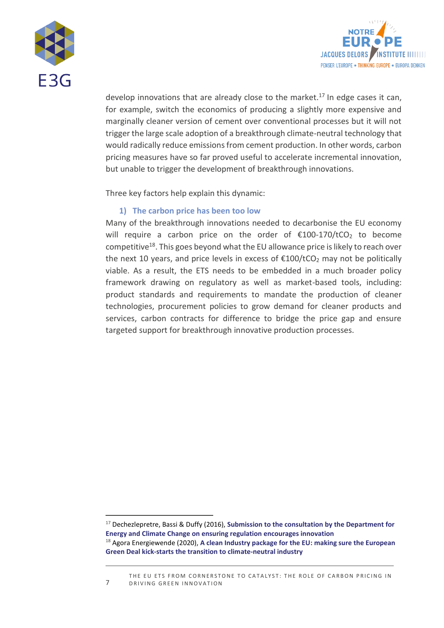



develop innovations that are already close to the market.<sup>17</sup> In edge cases it can, for example, switch the economics of producing a slightly more expensive and marginally cleaner version of cement over conventional processes but it will not trigger the large scale adoption of a breakthrough climate-neutral technology that would radically reduce emissions from cement production. In other words, carbon pricing measures have so far proved useful to accelerate incremental innovation, but unable to trigger the development of breakthrough innovations.

Three key factors help explain this dynamic:

## **1) The carbon price has been too low**

Many of the breakthrough innovations needed to decarbonise the EU economy will require a carbon price on the order of  $£100-170/tCO<sub>2</sub>$  to become competitive<sup>18</sup>. This goes beyond what the EU allowance price is likely to reach over the next 10 years, and price levels in excess of  $\epsilon$ 100/tCO<sub>2</sub> may not be politically viable. As a result, the ETS needs to be embedded in a much broader policy framework drawing on regulatory as well as market-based tools, including: product standards and requirements to mandate the production of cleaner technologies, procurement policies to grow demand for cleaner products and services, carbon contracts for difference to bridge the price gap and ensure targeted support for breakthrough innovative production processes.

<sup>17</sup> Dechezlepretre, Bassi & Duffy (2016), **[Submission to the consultation by the Department for](https://www.lse.ac.uk/granthaminstitute/wp-content/uploads/2017/03/Innovation-plan-consultation_final.pdf)  [Energy and Climate Change on ensuring regulation encourages innovation](https://www.lse.ac.uk/granthaminstitute/wp-content/uploads/2017/03/Innovation-plan-consultation_final.pdf)**

<sup>18</sup> Agora Energiewende (2020), **[A clean Industry package for the EU: making sure the European](https://static.agora-energiewende.de/fileadmin/Projekte/2020/2020_10_Clean_Industry_Package/A-EW_194_Clean-Industry-Package-EU_WEB.pdf)  [Green Deal kick-starts the transition to climate-neutral industry](https://static.agora-energiewende.de/fileadmin/Projekte/2020/2020_10_Clean_Industry_Package/A-EW_194_Clean-Industry-Package-EU_WEB.pdf)**

THE EU ETS FROM CORNERSTONE TO CATALYST: THE ROLE OF CARBON PRICING IN DRIVING GREEN INNOVATION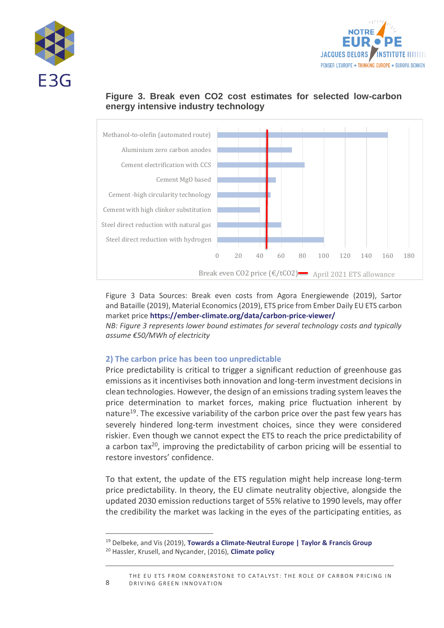





## **Figure 3. Break even CO2 cost estimates for selected low-carbon energy intensive industry technology**

Figure 3 Data Sources: Break even costs from Agora Energiewende (2019), Sartor and Bataille (2019), Material Economics (2019), ETS price from Ember Daily EU ETS carbon market price **<https://ember-climate.org/data/carbon-price-viewer/>**

*NB: Figure 3 represents lower bound estimates for several technology costs and typically assume €50/MWh of electricity*

## **2) The carbon price has been too unpredictable**

Price predictability is critical to trigger a significant reduction of greenhouse gas emissions as it incentivises both innovation and long-term investment decisions in clean technologies. However, the design of an emissions trading system leaves the price determination to market forces, making price fluctuation inherent by nature<sup>19</sup>. The excessive variability of the carbon price over the past few years has severely hindered long-term investment choices, since they were considered riskier. Even though we cannot expect the ETS to reach the price predictability of a carbon tax $^{20}$ , improving the predictability of carbon pricing will be essential to restore investors' confidence.

To that extent, the update of the ETS regulation might help increase long-term price predictability. In theory, the EU climate neutrality objective, alongside the updated 2030 emission reductions target of 55% relative to 1990 levels, may offer the credibility the market was lacking in the eyes of the participating entities, as

<sup>&</sup>lt;sup>19</sup> Delbeke, and Vis (2019), **[Towards a Climate-Neutral Europe | Taylor & Francis Group](https://www.taylorfrancis.com/books/oa-edit/10.4324/9789276082569/towards-climate-neutral-europe-jos-delbeke-peter-vis?context=ubx&refId=5f0a85c0-4f7f-4e3e-9c32-8c9cb53c4deb)** <sup>20</sup> Hassler, Krusell, and Nycander, (2016), **[Climate policy](http://hassler-j.iies.su.se/PAPERS/EP_2016.pdf)**

THE EU ETS FROM CORNERSTONE TO CATALYST: THE ROLE OF CARBON PRICING IN DRIVING GREEN INNOVATION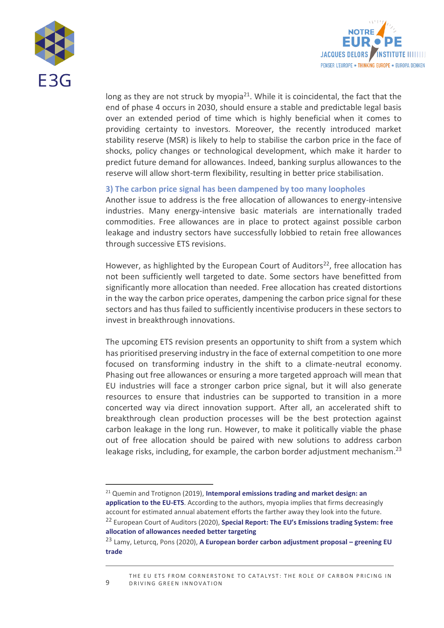



long as they are not struck by myopia<sup>21</sup>. While it is coincidental, the fact that the end of phase 4 occurs in 2030, should ensure a stable and predictable legal basis over an extended period of time which is highly beneficial when it comes to providing certainty to investors. Moreover, the recently introduced market stability reserve (MSR) is likely to help to stabilise the carbon price in the face of shocks, policy changes or technological development, which make it harder to predict future demand for allowances. Indeed, banking surplus allowances to the reserve will allow short-term flexibility, resulting in better price stabilisation.

#### **3) The carbon price signal has been dampened by too many loopholes**

Another issue to address is the free allocation of allowances to energy-intensive industries. Many energy-intensive basic materials are internationally traded commodities. Free allowances are in place to protect against possible carbon leakage and industry sectors have successfully lobbied to retain free allowances through successive ETS revisions.

However, as highlighted by the European Court of Auditors<sup>22</sup>, free allocation has not been sufficiently well targeted to date. Some sectors have benefitted from significantly more allocation than needed. Free allocation has created distortions in the way the carbon price operates, dampening the carbon price signal for these sectors and has thus failed to sufficiently incentivise producers in these sectors to invest in breakthrough innovations.

The upcoming ETS revision presents an opportunity to shift from a system which has prioritised preserving industry in the face of external competition to one more focused on transforming industry in the shift to a climate-neutral economy. Phasing out free allowances or ensuring a more targeted approach will mean that EU industries will face a stronger carbon price signal, but it will also generate resources to ensure that industries can be supported to transition in a more concerted way via direct innovation support. After all, an accelerated shift to breakthrough clean production processes will be the best protection against carbon leakage in the long run. However, to make it politically viable the phase out of free allocation should be paired with new solutions to address carbon leakage risks, including, for example, the carbon border adjustment mechanism.<sup>23</sup>

<sup>21</sup> Quemin and Trotignon (2019), **[Intemporal emissions trading and market design: an](https://www.lse.ac.uk/GranthamInstitute/wp-content/uploads/2019/01/working-paper-316-Quemin-Trotignon.pdf)  [application to the EU-ETS](https://www.lse.ac.uk/GranthamInstitute/wp-content/uploads/2019/01/working-paper-316-Quemin-Trotignon.pdf)**. According to the authors, myopia implies that firms decreasingly account for estimated annual abatement efforts the farther away they look into the future. <sup>22</sup> European Court of Auditors (2020), **[Special Report: The EU's Emissi](https://www.eca.europa.eu/Lists/ECADocuments/SR20_18/SR_EU-ETS_EN.pdf)ons trading System: free [allocation of allowances needed better targeting](https://www.eca.europa.eu/Lists/ECADocuments/SR20_18/SR_EU-ETS_EN.pdf)**

<sup>23</sup> Lamy, Leturcq, Pons (2020), **A European border carbon adjustment proposal – greening EU trade**

THE EU ETS FROM CORNERSTONE TO CATALYST: THE ROLE OF CARBON PRICING IN DRIVING GREEN INNOVATION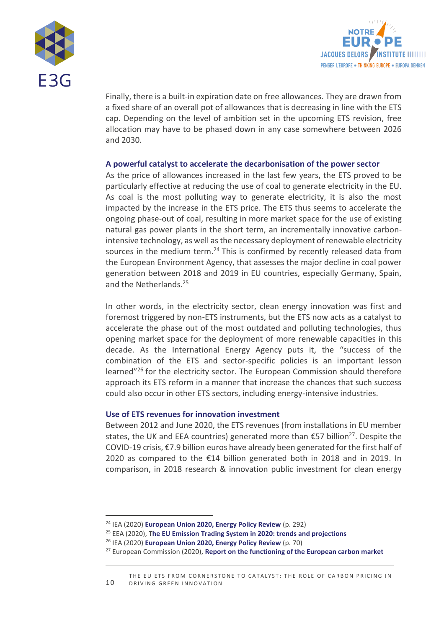



Finally, there is a built-in expiration date on free allowances. They are drawn from a fixed share of an overall pot of allowances that is decreasing in line with the ETS cap. Depending on the level of ambition set in the upcoming ETS revision, free allocation may have to be phased down in any case somewhere between 2026 and 2030.

#### **A powerful catalyst to accelerate the decarbonisation of the power sector**

As the price of allowances increased in the last few years, the ETS proved to be particularly effective at reducing the use of coal to generate electricity in the EU. As coal is the most polluting way to generate electricity, it is also the most impacted by the increase in the ETS price. The ETS thus seems to accelerate the ongoing phase-out of coal, resulting in more market space for the use of existing natural gas power plants in the short term, an incrementally innovative carbonintensive technology, as well as the necessary deployment of renewable electricity sources in the medium term.<sup>24</sup> This is confirmed by recently released data from the European Environment Agency, that assesses the major decline in coal power generation between 2018 and 2019 in EU countries, especially Germany, Spain, and the Netherlands.<sup>25</sup>

In other words, in the electricity sector, clean energy innovation was first and foremost triggered by non-ETS instruments, but the ETS now acts as a catalyst to accelerate the phase out of the most outdated and polluting technologies, thus opening market space for the deployment of more renewable capacities in this decade. As the International Energy Agency puts it, the "success of the combination of the ETS and sector-specific policies is an important lesson learned"<sup>26</sup> for the electricity sector. The European Commission should therefore approach its ETS reform in a manner that increase the chances that such success could also occur in other ETS sectors, including energy-intensive industries.

#### **Use of ETS revenues for innovation investment**

Between 2012 and June 2020, the ETS revenues (from installations in EU member states, the UK and EEA countries) generated more than  $\epsilon$ 57 billion<sup>27</sup>. Despite the COVID-19 crisis, €7.9 billion euros have already been generated for the first half of 2020 as compared to the €14 billion generated both in 2018 and in 2019. In comparison, in 2018 research & innovation public investment for clean energy

<sup>24</sup> IEA (2020) **[European Union 2020, Energy Policy Review](https://www.iea.org/reports/european-union-2020)** (p. 292)

<sup>25</sup> EEA (2020), T**[he EU Emission Trading System in 2020: trends and projections](https://www.eea.europa.eu/publications/the-eu-emissions-trading-system-1)**

<sup>26</sup> IEA (2020) **[European Union 2020, Energy Policy Review](https://www.iea.org/reports/european-union-2020)** (p. 70)

<sup>27</sup> European Commission (2020), **[Report on the functioning of the European carbon market](https://eur-lex.europa.eu/legal-content/EN/TXT/?uri=CELEX:52020DC0740#footnote42)**

<sup>1 0</sup> THE EU ETS FROM CORNERSTONE TO CATALYST: THE ROLE OF CARBON PRICING IN DRIVING GREEN INNOVATION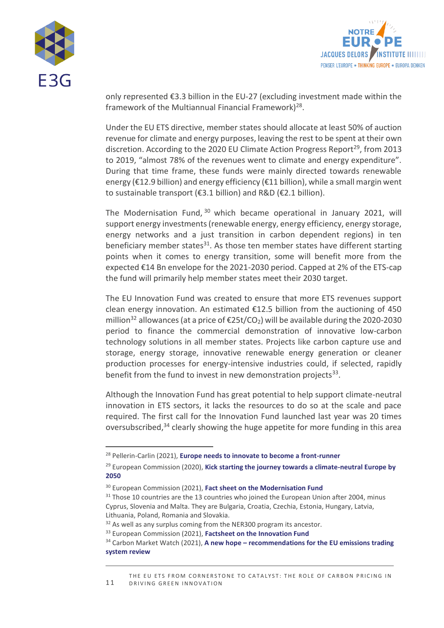



only represented €3.3 billion in the EU-27 (excluding investment made within the framework of the Multiannual Financial Framework) 28 .

Under the EU ETS directive, member states should allocate at least 50% of auction revenue for climate and energy purposes, leaving the rest to be spent at their own discretion. According to the 2020 EU Climate Action Progress Report<sup>29</sup>, from 2013 to 2019, "almost 78% of the revenues went to climate and energy expenditure". During that time frame, these funds were mainly directed towards renewable energy (€12.9 billion) and energy efficiency (€11 billion), while a small margin went to sustainable transport (€3.1 billion) and R&D (€2.1 billion).

The Modernisation Fund, <sup>30</sup> which became operational in January 2021, will support energy investments (renewable energy, energy efficiency, energy storage, energy networks and a just transition in carbon dependent regions) in ten beneficiary member states $31$ . As those ten member states have different starting points when it comes to energy transition, some will benefit more from the expected €14 Bn envelope for the 2021-2030 period. Capped at 2% of the ETS-cap the fund will primarily help member states meet their 2030 target.

The EU Innovation Fund was created to ensure that more ETS revenues support clean energy innovation. An estimated €12.5 billion from the auctioning of 450 million<sup>32</sup> allowances (at a price of  $\epsilon$ 25t/CO<sub>2</sub>) will be available during the 2020-2030 period to finance the commercial demonstration of innovative low-carbon technology solutions in all member states. Projects like carbon capture use and storage, energy storage, innovative renewable energy generation or cleaner production processes for energy-intensive industries could, if selected, rapidly benefit from the fund to invest in new demonstration projects<sup>33</sup>.

Although the Innovation Fund has great potential to help support climate-neutral innovation in ETS sectors, it lacks the resources to do so at the scale and pace required. The first call for the Innovation Fund launched last year was 20 times oversubscribed,<sup>34</sup> clearly showing the huge appetite for more funding in this area

<sup>28</sup> Pellerin-Carlin (2021), **[Europe needs to innovate to become a front-runner](https://eur-lex.europa.eu/legal-content/EN/TXT/?uri=CELEX:52020DC0740#footnote42)**

<sup>29</sup> European Commission (2020), **Kick starting the journey towards a climate-neutral Europe by 2050**

<sup>30</sup> European Commission (2021), **[Fact sheet on the Modernisation Fund](https://ec.europa.eu/clima/policies/budget/modernisation-fund_en)**

 $31$  Those 10 countries are the 13 countries who joined the European Union after 2004, minus Cyprus, Slovenia and Malta. They are Bulgaria, Croatia, Czechia, Estonia, Hungary, Latvia, Lithuania, Poland, Romania and Slovakia.

<sup>&</sup>lt;sup>32</sup> As well as any surplus coming from the NER300 program its ancestor.

<sup>33</sup> European Commission (2021), **[Factsheet on the Innovation Fund](https://ec.europa.eu/clima/sites/clima/files/innovation-fund/innovation_fund_factsheet_en.pdf)**

<sup>34</sup> Carbon Market Watch (2021), **A new hope – [recommendations for the EU emissions trading](https://carbonmarketwatch.org/wp-content/uploads/2021/04/A-New-Hope_recommendations-for-the-EU-ETS-review-2.pdf)  [system review](https://carbonmarketwatch.org/wp-content/uploads/2021/04/A-New-Hope_recommendations-for-the-EU-ETS-review-2.pdf)**

<sup>1 1</sup> THE EU ETS FROM CORNERSTONE TO CATALYST: THE ROLE OF CARBON PRICING IN DRIVING GREEN INNOVATION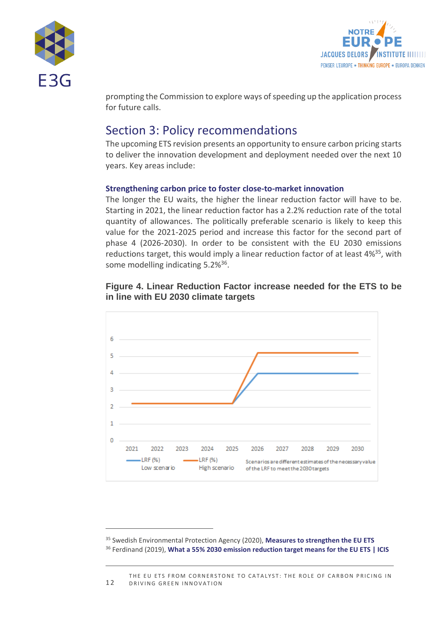



prompting the Commission to explore ways of speeding up the application process for future calls.

## Section 3: Policy recommendations

The upcoming ETS revision presents an opportunity to ensure carbon pricing starts to deliver the innovation development and deployment needed over the next 10 years. Key areas include:

## **Strengthening carbon price to foster close-to-market innovation**

The longer the EU waits, the higher the linear reduction factor will have to be. Starting in 2021, the linear reduction factor has a 2.2% reduction rate of the total quantity of allowances. The politically preferable scenario is likely to keep this value for the 2021-2025 period and increase this factor for the second part of phase 4 (2026-2030). In order to be consistent with the EU 2030 emissions reductions target, this would imply a linear reduction factor of at least 4%<sup>35</sup>, with some modelling indicating 5.2%<sup>36</sup>.





<sup>35</sup> Swedish Environmental Protection Agency (2020), **[Measures to strengthen the EU ETS](http://www.utslappshandel.se/upload/utslappshandel/ets-reforms-a-lit-review-march%20-2020-by-se-epa.pdf)** <sup>36</sup> Ferdinand (2019), **[What a 55% 2030 emission reduction target means for the EU ETS | ICIS](https://www.icis.com/explore/resources/news/2019/08/08/10402210/what-a-55-2030-emission-reduction-target-means-for-the-eu-ets)**

<sup>1 2</sup> THE EU ETS FROM CORNERSTONE TO CATALYST: THE ROLE OF CARBON PRICING IN DRIVING GREEN INNOVATION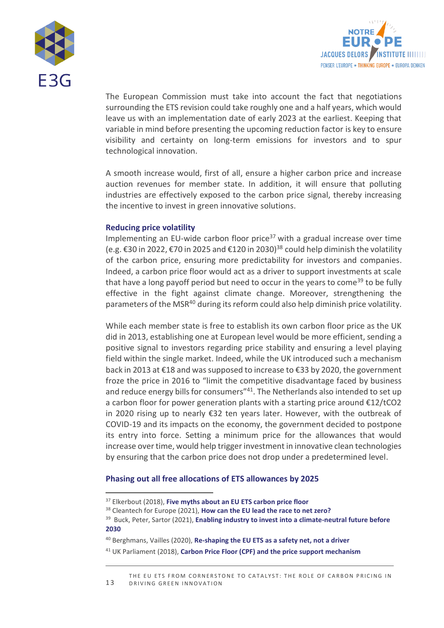



The European Commission must take into account the fact that negotiations surrounding the ETS revision could take roughly one and a half years, which would leave us with an implementation date of early 2023 at the earliest. Keeping that variable in mind before presenting the upcoming reduction factor is key to ensure visibility and certainty on long-term emissions for investors and to spur technological innovation.

A smooth increase would, first of all, ensure a higher carbon price and increase auction revenues for member state. In addition, it will ensure that polluting industries are effectively exposed to the carbon price signal, thereby increasing the incentive to invest in green innovative solutions.

#### **Reducing price volatility**

Implementing an EU-wide carbon floor price $37$  with a gradual increase over time (e.g. €30 in 2022, €70 in 2025 and €120 in 2030)<sup>38</sup> could help diminish the volatility of the carbon price, ensuring more predictability for investors and companies. Indeed, a carbon price floor would act as a driver to support investments at scale that have a long payoff period but need to occur in the years to come<sup>39</sup> to be fully effective in the fight against climate change. Moreover, strengthening the parameters of the MSR<sup>40</sup> during its reform could also help diminish price volatility.

While each member state is free to establish its own carbon floor price as the UK did in 2013, establishing one at European level would be more efficient, sending a positive signal to investors regarding price stability and ensuring a level playing field within the single market. Indeed, while the UK introduced such a mechanism back in 2013 at €18 and was supposed to increase to €33 by 2020, the government froze the price in 2016 to "limit the competitive disadvantage faced by business and reduce energy bills for consumers<sup>"41</sup>. The Netherlands also intended to set up a carbon floor for power generation plants with a starting price around €12/tCO2 in 2020 rising up to nearly €32 ten years later. However, with the outbreak of COVID-19 and its impacts on the economy, the government decided to postpone its entry into force. Setting a minimum price for the allowances that would increase over time, would help trigger investment in innovative clean technologies by ensuring that the carbon price does not drop under a predetermined level.

#### **Phasing out all free allocations of ETS allowances by 2025**

<sup>37</sup> Elkerbout (2018), **[Five myths about an EU ETS carbon price floor](https://www.ceps.eu/ceps-publications/five-myths-about-eu-ets-carbon-price-floor/)**

<sup>38</sup> Cleantech for Europe (2021), **[How can the EU lead the race to net zero?](https://www.cleantechforeurope.com/download-report)**

<sup>39</sup> Buck, Peter, Sartor (2021), **Enabling industry to invest [into a climate-neutral future before](https://static.agora-energiewende.de/fileadmin/Projekte/2020/2020_10_Clean_Industry_Package/A-EW_201_Enabling-industry-invest-before-2030_WEB.pdf)  [2030](https://static.agora-energiewende.de/fileadmin/Projekte/2020/2020_10_Clean_Industry_Package/A-EW_201_Enabling-industry-invest-before-2030_WEB.pdf)**

<sup>40</sup> Berghmans, Vailles (2020), **[Re-shaping the EU ETS as a safety net, not a driver](https://energypost.eu/re-shaping-the-eu-ets-as-a-safety-net-not-a-driver/)**

<sup>41</sup> UK Parliament (2018), **Carbon Price Floor (CPF) and the price support mechanism**

<sup>1 3</sup> THE EU ETS FROM CORNERSTONE TO CATALYST: THE ROLE OF CARBON PRICING IN DRIVING GREEN INNOVATION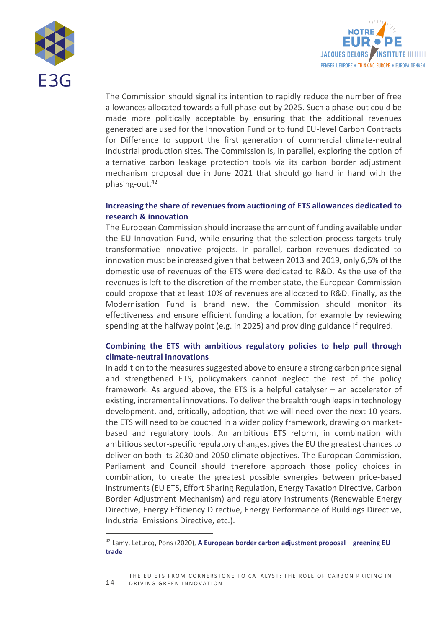



The Commission should signal its intention to rapidly reduce the number of free allowances allocated towards a full phase-out by 2025. Such a phase-out could be made more politically acceptable by ensuring that the additional revenues generated are used for the Innovation Fund or to fund EU-level Carbon Contracts for Difference to support the first generation of commercial climate-neutral industrial production sites. The Commission is, in parallel, exploring the option of alternative carbon leakage protection tools via its carbon border adjustment mechanism proposal due in June 2021 that should go hand in hand with the phasing-out.<sup>42</sup>

#### **Increasing the share of revenues from auctioning of ETS allowances dedicated to research & innovation**

The European Commission should increase the amount of funding available under the EU Innovation Fund, while ensuring that the selection process targets truly transformative innovative projects. In parallel, carbon revenues dedicated to innovation must be increased given that between 2013 and 2019, only 6,5% of the domestic use of revenues of the ETS were dedicated to R&D. As the use of the revenues is left to the discretion of the member state, the European Commission could propose that at least 10% of revenues are allocated to R&D. Finally, as the Modernisation Fund is brand new, the Commission should monitor its effectiveness and ensure efficient funding allocation, for example by reviewing spending at the halfway point (e.g. in 2025) and providing guidance if required.

## **Combining the ETS with ambitious regulatory policies to help pull through climate-neutral innovations**

In addition to the measures suggested above to ensure a strong carbon price signal and strengthened ETS, policymakers cannot neglect the rest of the policy framework. As argued above, the ETS is a helpful catalyser – an accelerator of existing, incremental innovations. To deliver the breakthrough leaps in technology development, and, critically, adoption, that we will need over the next 10 years, the ETS will need to be couched in a wider policy framework, drawing on marketbased and regulatory tools. An ambitious ETS reform, in combination with ambitious sector-specific regulatory changes, gives the EU the greatest chances to deliver on both its 2030 and 2050 climate objectives. The European Commission, Parliament and Council should therefore approach those policy choices in combination, to create the greatest possible synergies between price-based instruments (EU ETS, Effort Sharing Regulation, Energy Taxation Directive, Carbon Border Adjustment Mechanism) and regulatory instruments (Renewable Energy Directive, Energy Efficiency Directive, Energy Performance of Buildings Directive, Industrial Emissions Directive, etc.).

<sup>42</sup> Lamy, Leturcq, Pons (2020), **A European border carbon adjustment proposal – greening EU trade**

<sup>1 4</sup> THE EU ETS FROM CORNERSTONE TO CATALYST: THE ROLE OF CARBON PRICING IN DRIVING GREEN INNOVATION